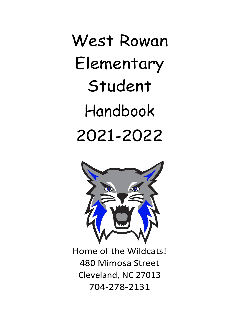West Rowan Elementary Student Handbook 2021-2022



Home of the Wildcats! 480 Mimosa Street Cleveland, NC 27013 704-278-2131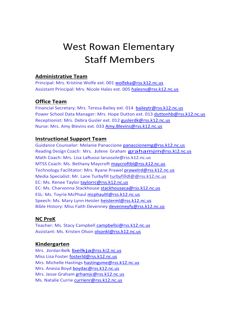# West Rowan Elementary Staff Members

#### **Administrative Team**

Principal: Mrs. Kristine Wolfe ext. 001 [wolfeka@rss.k12.nc.us](mailto:wolfeka@rss.k12.nc.us) Assistant Principal: Mrs. Nicole Hales ext. 005 [halesns@rss.k12.nc.us](mailto:halesns@rss.k12.nc.us)

#### **Office Team**

Financial Secretary: Mrs. Teresa Bailey ext. 014 [baileytr@rss.k12.nc.us](mailto:baileytr@rss.k12.nc.us) Power School Data Manager: Mrs. Hope Dutton ext. 013 [duttonhb@rss.k12.nc.us](mailto:duttonhb@rss.k12.nc.us) Receptionist: Mrs. Debra Gusler ext. 012 [guslerdk@rss.k12.nc.us](mailto:guslerdk@rss.k12.nc.us) Nurse: Mrs. Amy Blevins ext. 033 [Amy.Blevins@rss.k12.nc.us](mailto:Amy.Blevins@rss.k12.nc.us)

#### **Instructional Support Team**

Guidance Counselor: Melanie Panaccione [panaccionemg@rss.k12.nc.us](mailto:panaccionemg@rss.k12.nc.us) Reading Design Coach: Mrs. Jolene Graham [grahamjm@rss.k12.nc.us](mailto:grahamjm@rss.k12.nc.us) Math Coach: Mrs. Lisa LaRusso larussole@rss.k12.nc.us MTSS Coach: Ms. Bethany Maycroft [maycroftbl@rss.k12.nc.us](mailto:maycroftbl@rss.k12.nc.us) Technology Facilitator: Mrs. Ryane Prawel [prawelrd@rss.k12.nc.us](mailto:prawelrd@rss.k12.nc.us) Media Specialist: Mr. Lane Turbyfill [turbyfilldl@@rss.k12.nc.us](mailto:Donald.Turbyfill@rss.k12.nc.us) EC: Ms. Renee Taylor [taylorrc@rss.k12.nc.us](mailto:taylorrc@rss.k12.nc.us) EC: Ms. Charvonna Stackhouse [stackhouseca@rss.k12.nc.us](mailto:stackhouseca@rss.k12.nc.us) ESL: Ms. Toyrie McPhaul [mcphaultl@rss.k12.nc.us](mailto:mcphaultl@rss.k12.nc.us) Speech: Ms. Mary Lynn Heisler [heislerml@rss.k12.nc.us](mailto:heislerml@rss.k12.nc.us) Bible History: Miss Faith Devenney [devenneyfy@rss.k12.nc.us](mailto:devenneyfy@rss.k12.nc.us)

#### **NC PreK**

Teacher: Ms. Stacy Campbell [campbellsi@rss.k12.nc.us](mailto:campbellsi@rss.k12.nc.us) Assistant: Ms. Kristen Olson [olsonkl@rss.k12.nc.us](mailto:olsonkl@rss.k12.nc.us)

#### **Kindergarten**

Mrs. Jordan Belk [belkja@rss.k12.nc.us](mailto:belkja@rss.k12.nc.us) Miss Lisa Foster [fosterld@rss.k12.nc.us](mailto:fosterld@rss.k12.nc.us) Mrs. Michelle Hastings [hastingsme@rss.k12.nc.us](mailto:hastingsme@rss.k12.nc.us) Mrs. Anesia Boyd [boydac@rss.k12.nc.us](mailto:boydac@rss.k12.nc.us) Mrs. Jesse Graham [grhamjc@rss.k12.nc.us](mailto:grhamjc@rss.k12.nc.us) Ms. Natalie Currie [currienr@rss.k12.nc.us](mailto:currienr@rss.k12.nc.us)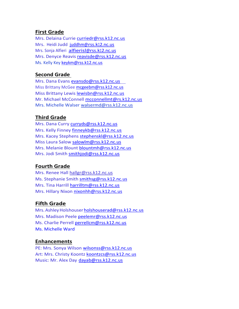#### **First Grade**

Mrs. Delaina Currie [curriedr@rss.k12.nc.us](mailto:curriedr@rss.k12.nc.us) Mrs. Heidi Judd [juddhm@rss.k12.nc.us](mailto:juddhm@rss.k12.nc.us) Mrs. Sonja Alfieri [alfierisl@rss.k12.nc.us](mailto:alfierisl@rss.k12.nc.us) Mrs. Denyce Reavis [reavisde@rss.k12.nc.us](mailto:reavisde@rss.k12.nc.us) Ms. Kelly Key [keykm@rss.k12.nc.us](mailto:keykm@rss.k12.nc.us)

#### **Second Grade**

Mrs. Dana Evans [evansdo@rss.k12.nc.us](mailto:evansdo@rss.k12.nc.us) Miss Brittany McGee [mcgeebm@rss.k12.nc.us](mailto:mcgeebm@rss.k12.nc.us) Miss Brittany Lewis [lewisbn@rss.k12.nc.us](mailto:lewisbn@rss.k12.nc.us) Mr. Michael McConnell [mcconnellmt@rs.k12.nc.us](mailto:mcconnellmt@rs.k12.nc.us) Mrs. Michelle Walser [walsermd@rss.k12.nc.us](mailto:walsermd@rss.k12.nc.us)

#### **Third Grade**

Mrs. Dana Curry [curryds@rss.k12.nc.us](mailto:curryds@rss.k12.nc.us) Mrs. Kelly Finney [finneykb@rss.k12.nc.us](mailto:finneykb@rss.k12.nc.us) Mrs. Kacey Stephens [stephenskl@rss.k12.nc.us](mailto:stephenskl@rss.k12.nc.us) Miss Laura Salow [salowlm@rss.k12.nc.us](mailto:salowlm@rss.k12.nc.us) Mrs. Melanie Blount [blountmh@rss.k12.nc.us](mailto:blountmh@rss.k12.nc.us) Mrs. Jodi Smith [smithjodi@rss.k12.nc.us](mailto:smithjodi@rss.k12.nc.us)

#### **Fourth Grade**

Mrs. Renee Hall hallgr@rss.k12.nc.us Ms. Stephanie Smith [smithsg@rss.k12.nc.us](mailto:smithsg@rss.k12.nc.us) Mrs. Tina Harrill [harrilltm@rss.k12.nc.us](mailto:harrilltm@rss.k12.nc.us) Mrs. Hillary Nixon [nixonhh@rss.k12.nc.us](mailto:nixonhh@rss.k12.nc.us)

### **Fifth Grade**

Mrs. Ashley Holshouser holshouserad@rss.k12.nc.us Mrs. Madison Peele [peelemr@rss.k12.nc.us](mailto:peelemr@rss.k12.nc.us) Ms. Charlie Perrell [perrellcm@rss.k12.nc.us](mailto:perrellcm@rss.k12.nc.us) Ms. Michelle Ward

#### **Enhancements**

PE: Mrs. Sonya Wilson [wilsonss@rss.k12.nc.us](mailto:wilsonss@rss.k12.nc.us) Art: Mrs. Christy Koontz [koontzcs@rss.k12.nc.us](mailto:koontzcs@rss.k12.nc.us) Music: Mr. Alex Day [dayab@rss.k12.nc.us](mailto:dayab@rss.k12.nc.us)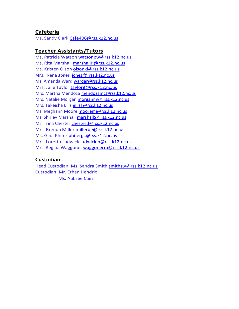#### **Cafeteria**

Ms. Sandy Clark [Cafe406@rss.k12.nc.us](mailto:Cafe406@rss.k12.nc.us)

#### **Teacher Assistants/Tutors**

Ms. Patricia Watson [watsonpw@rss.k12.nc.us](mailto:watsonpw@rss.k12.nc.us) Ms. Rita Marshall [marshallrl@rss.k12.nc.us](mailto:marshallrl@rss.k12.nc.us) Ms. Kristen Olson [olsonkl@rss.k12.nc.us](mailto:olsonkl@rss.k12.nc.us) Mrs. Nena Jones [jonesjf@rss.k12.nc.us](mailto:jonesjf@rss.k12.nc.us) Ms. Amanda Ward [wardar@rss.k12.nc.us](mailto:wardar@rss.k12.nc.us) Mrs. Julie Taylor [taylorjf@rss.k12.nc.us](mailto:taylorjf@rss.k12.nc.us) Mrs. Martha Mendoza [mendozamc@rss.k12.nc.us](mailto:mendozamc@rss.k12.nc.us) Mrs. Natalie Morgan [morgannw@rss.k12.nc.us](mailto:morgannw@rss.k12.nc.us) Mrs. Takeisha Ellis [ellisT@rss.k12.nc.us](mailto:ellisT@rss.k12.nc.us) Ms. Meghann Moore [mooremj@rss.k12.nc.us](mailto:mooremj@rss.k12.nc.us) Ms. Shirley Marshall [marshallS@rss.k12.nc.us](mailto:marshallS@rss.k12.nc.us) Ms. Trina Chester [chestertl@rss.k12.nc.us](mailto:chestertl@rss.k12.nc.us) Mrs. Brenda Miller [millerbe@rss.k12.nc.us](mailto:millerbe@rss.k12.nc.us) Ms. Gina Phifer [phifergc@rss.k12.nc.us](mailto:phifergc@rss.k12.nc.us) Mrs. Loretta Ludwick [ludwicklh@rss.k12.nc.us](mailto:ludwicklh@rss.k12.nc.us) Mrs. Regina Waggoner [waggonerra@rss.k12.nc.us](mailto:waggonerra@rss.k12.nc.us)

#### **Custodian**s

Head Custodian: Ms. Sandra Smith [smithsw@rss.k12.nc.us](mailto:smithsw@rss.k12.nc.us) Custodian: Mr. Ethan Hendrix Ms. Aubree Cain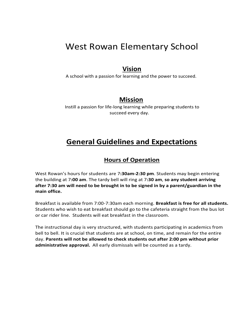## West Rowan Elementary School

## **Vision**

A school with a passion for learning and the power to succeed.

## **Mission**

Instill a passion for life-long learning while preparing students to succeed every day.

## **General Guidelines and Expectations**

### **Hours of Operation**

West Rowan's hours for students are 7**:30am-2:30 pm**. Students may begin entering the building at 7**:00 am**. The tardy bell will ring at 7**:30 am**, **so any student arriving after 7:30 am will need to be brought in to be signed in by a parent/guardian in the main office.**

Breakfast is available from 7:00-7:30am each morning. **Breakfast is free for all students.** Students who wish to eat breakfast should go to the cafeteria straight from the bus lot or car rider line. Students will eat breakfast in the classroom.

The instructional day is very structured, with students participating in academics from bell to bell. It is crucial that students are at school, on time, and remain for the entire day. **Parents will not be allowed to check students out after 2:00 pm without prior administrative approval.** All early dismissals will be counted as a tardy.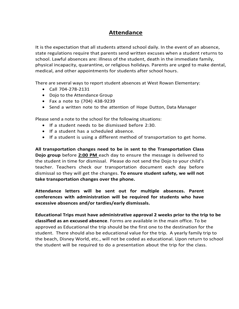### **Attendance**

It is the expectation that all students attend school daily. In the event of an absence, state regulations require that parents send written excuses when a student returns to school. Lawful absences are: illness of the student, death in the immediate family, physical incapacity, quarantine, or religious holidays. Parents are urged to make dental, medical, and other appointments for students after school hours.

There are several ways to report student absences at West Rowan Elementary:

- Call 704-278-2131
- Dojo to the Attendance Group
- Fax a note to (704) 438-9239
- Send a written note to the attention of Hope Dutton, Data Manager

Please send a note to the school for the following situations:

- If a student needs to be dismissed before 2:30.
- If a student has a scheduled absence.
- If a student is using a different method of transportation to get home.

**All transportation changes need to be in sent to the Transportation Class Dojo group** before **2:00 PM** each day to ensure the message is delivered to the student in time for dismissal. Please do not send the Dojo to your child's teacher. Teachers check our transportation document each day before dismissal so they will get the changes. **To ensure student safety, we will not take transportation changes over the phone.**

**Attendance letters will be sent out for multiple absences. Parent conferences with administration will be required for students who have excessive absences and/or tardies/early dismissals.**

**Educational Trips must have administrative approval 2 weeks prior to the trip to be classified as an excused absence**. Forms are available in the main office. To be approved as Educational the trip should be the first one to the destination for the student. There should also be educational value for the trip. A yearly family trip to the beach, Disney World, etc., will not be coded as educational. Upon return to school the student will be required to do a presentation about the trip for the class.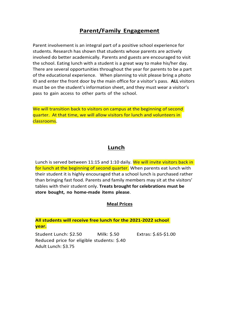## **Parent/Family Engagement**

Parent involvement is an integral part of a positive school experience for students. Research has shown that students whose parents are actively involved do better academically. Parents and guests are encouraged to visit the school. Eating lunch with a student is a great way to make his/her day. There are several opportunities throughout the year for parents to be a part of the educational experience. When planning to visit please bring a photo ID and enter the front door by the main office for a visitor's pass. **ALL** visitors must be on the student's information sheet, and they must wear a visitor's pass to gain access to other parts of the school.

We will transition back to visitors on campus at the beginning of second quarter. At that time, we will allow visitors for lunch and volunteers in classrooms.

#### **Lunch**

Lunch is served between 11:15 and 1:10 daily. We will invite visitors back in for lunch at the beginning of second quarter. When parents eat lunch with their student it is highly encouraged that a school lunch is purchased rather than bringing fast food. Parents and family members may sit at the visitors' tables with their student only. **Treats brought for celebrations must be store bought, no home-made items please**.

#### **Meal Prices**

#### **All students will receive free lunch for the 2021-2022 school year.**

Student Lunch: \$2.50 Milk: \$.50 Extras: \$.65-\$1.00 Reduced price for eligible students: \$.40 Adult Lunch: \$3.75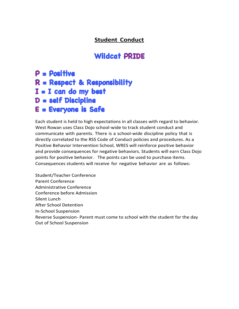## **Student Conduct**

## **Wildcat PRIDE**

## $P = Positive$  $R =$  Respect & Responsibility  $I = I$  can do my best D = self Discipline E = Everyone is Safe

Each student is held to high expectations in all classes with regard to behavior. West Rowan uses Class Dojo school-wide to track student conduct and communicate with parents. There is a school-wide discipline policy that is directly correlated to the RSS Code of Conduct policies and procedures. As a Positive Behavior Intervention School, WRES will reinforce positive behavior and provide consequences for negative behaviors. Students will earn Class Dojo points for positive behavior. The points can be used to purchase items. Consequences students will receive for negative behavior are as follows:

Student/Teacher Conference Parent Conference Administrative Conference Conference before Admission Silent Lunch After School Detention In-School Suspension Reverse Suspension- Parent must come to school with the student for the day Out of School Suspension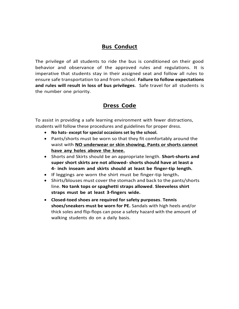## **Bus Conduct**

The privilege of all students to ride the bus is conditioned on their good behavior and observance of the approved rules and regulations. It is imperative that students stay in their assigned seat and follow all rules to ensure safe transportation to and from school. **Failure to follow expectations and rules will result in loss of bus privileges**. Safe travel for all students is the number one priority.

## **Dress Code**

To assist in providing a safe learning environment with fewer distractions, students will follow these procedures and guidelines for proper dress.

- **No hats- except for special occasions set by the school.**
- Pants/shorts must be worn so that they fit comfortably around the waist with **NO underwear or skin showing. Pants or shorts cannot have any holes above the knee.**
- Shorts and Skirts should be an appropriate length. **Short-shorts and super short skirts are not allowed- shorts should have at least a 4- inch inseam and skirts should at least be finger-tip length.**
- If leggings are worn the shirt must be finger-tip length**.**
- Shirts/blouses must cover the stomach and back to the pants/shorts line. **No tank tops or spaghetti straps allowed**. **Sleeveless shirt straps must be at least 3-fingers wide.**
- **Closed-toed shoes are required for safety purposes**. **Tennis shoes/sneakers must be worn for PE.** Sandals with high heels and/or thick soles and flip-flops can pose a safety hazard with the amount of walking students do on a daily basis.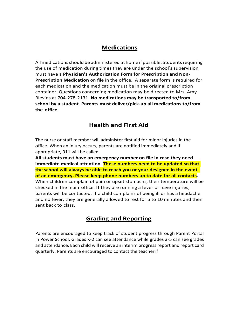## **Medications**

All medications should be administered at home if possible. Students requiring the use of medication during times they are under the school's supervision must have a **Physician's Authorization Form for Prescription and Non-Prescription Medication** on file in the office. A separate form is required for each medication and the medication must be in the original prescription container. Questions concerning medication may be directed to Mrs. Amy Blevins at 704-278-2131. **No medications may be transported to/from school by a student**. **Parents must deliver/pick-up all medications to/from the office.**

## **Health and First Aid**

The nurse or staff member will administer first aid for minor injuries in the office. When an injury occurs, parents are notified immediately and if appropriate, 911 will be called.

**All students must have an emergency number on file in case they need immediate medical attention. These numbers need to be updated so that the school will always be able to reach you or your designee in the event of an emergency. Please keep phone numbers up to date for all contacts.** When children complain of pain or upset stomachs, their temperature will be checked in the main office. If they are running a fever or have injuries, parents will be contacted. If a child complains of being ill or has a headache and no fever, they are generally allowed to rest for 5 to 10 minutes and then sent back to class.

## **Grading and Reporting**

Parents are encouraged to keep track of student progress through Parent Portal in Power School. Grades K-2 can see attendance while grades 3-5 can see grades and attendance. Each child will receive an interim progress report and report card quarterly. Parents are encouraged to contact the teacherif